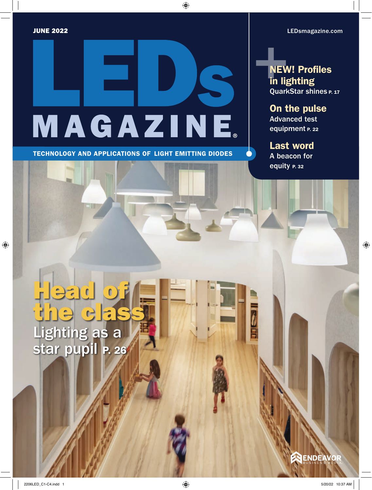[LEDsmagazine.com](http://LEDsmagazine.com)

# <span id="page-0-0"></span>MAGAZINE

TECHNOLOGY AND APPLICATIONS OF LIGHT EMITTING DIODES

**NEW! Profiles** in lighting QuarkStar shines P. 17

On the pulse Advanced test equipment P. 22

Last word A beacon for equity P. 32

 $\frac{1}{2}$ 

# Lighting as a star pupil P. 26 Head of the class

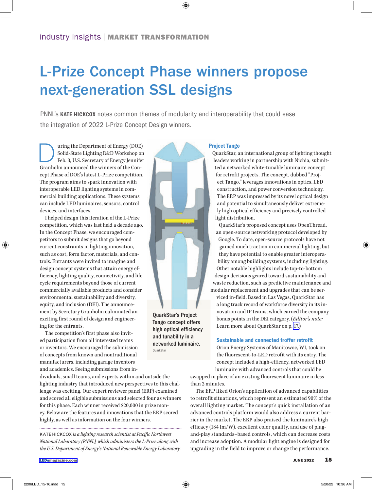## L-Prize Concept Phase winners propose next-generation SSL designs

PNNL's KATE HICKCOX notes common themes of modularity and interoperability that could ease the integration of 2022 L-Prize Concept Design winners.

uring the Department of Energy (DOE)<br>Solid-State Lighting R&D Workshop on<br>Feb. 3, U.S. Secretary of Energy Jennifer Solid-State Lighting R&D Workshop on Feb. 3, U.S. Secretary of Energy Jennifer Granholm announced the winners of the Concept Phase of DOE's latest L-Prize competition. The program aims to spark innovation with interoperable LED lighting systems in commercial building applications. These systems can include LED luminaires, sensors, control devices, and interfaces.

I helped design this iteration of the L-Prize competition, which was last held a decade ago. In the Concept Phase, we encouraged competitors to submit designs that go beyond current constraints in lighting innovation, such as cost, form factor, materials, and controls. Entrants were invited to imagine and design concept systems that attain energy efficiency, lighting quality, connectivity, and life cycle requirements beyond those of current commercially available products and consider environmental sustainability and diversity, equity, and inclusion (DEI). The announcement by Secretary Granholm culminated an exciting first round of design and engineering for the entrants.

The competition's first phase also invited participation from all interested teams or inventors. We encouraged the submission of concepts from known and nontraditional manufacturers, including garage inventors and academics. Seeing submissions from in-

dividuals, small teams, and experts within and outside the lighting industry that introduced new perspectives to this challenge was exciting. Our expert reviewer panel (ERP) examined and scored all eligible submissions and selected four as winners for this phase. Each winner received \$20,000 in prize money. Below are the features and innovations that the ERP scored highly, as well as information on the four winners.

KATE HICKCOX *is a lighting research scientist at [Pacific Northwest](https://www.pnnl.gov/)  [National Laboratory](https://www.pnnl.gov/) (PNNL), which administers the [L-Prize a](https://americanmadechallenges.org/challenges/lprize/index.html)long with the U.S. Department of Energy's National Renewable Energy Laboratory.*



QuarkStar's Project Tango concept offers high optical efficiency and tunability in a networked luminaire. QuarkStar

### Project Tango

QuarkStar, an international group of lighting thought leaders working in partnership with Nichia, submitted a networked white-tunable luminaire concept for retrofit projects. The concept, dubbed "Project Tango," leverages innovations in optics, LED construction, and power conversion technology. The ERP was impressed by its novel optical design and potential to simultaneously deliver extremely high optical efficiency and precisely controlled light distribution.

QuarkStar's proposed concept uses OpenThread, an open-source networking protocol developed by Google. To date, open-source protocols have not gained much traction in commercial lighting, but they have potential to enable greater interoperability among building systems, including lighting. Other notable highlights include top-to-bottom design decisions geared toward sustainability and waste reduction, such as predictive maintenance and modular replacement and upgrades that can be ser-

viced in-field. Based in Las Vegas, QuarkStar has a long track record of workforce diversity in its innovation and IP teams, which earned the company bonus points in the DEI category. (*Editor's note:* Learn more about QuarkStar on p. 17.

### Sustainable and connected troffer retrofit

[Orion Energy Systems](https://www.orionlighting.com/) of Manitowoc, WI, took on the fluorescent-to-LED retrofit with its entry. The concept included a high-efficacy, networked LED luminaire with advanced controls that could be

swapped in place of an existing fluorescent luminaire in less than 2 minutes.

The ERP liked Orion's application of advanced capabilities to retrofit situations, which represent an estimated 90% of the overall lighting market. The concept's quick installation of an advanced controls platform would also address a current barrier in the market. The ERP also praised the luminaire's high efficacy (184 lm/W), excellent color quality, and use of plugand-play standards–based controls, which can decrease costs and increase adoption. A modular light engine is designed for upgrading in the field to improve or change the performance.